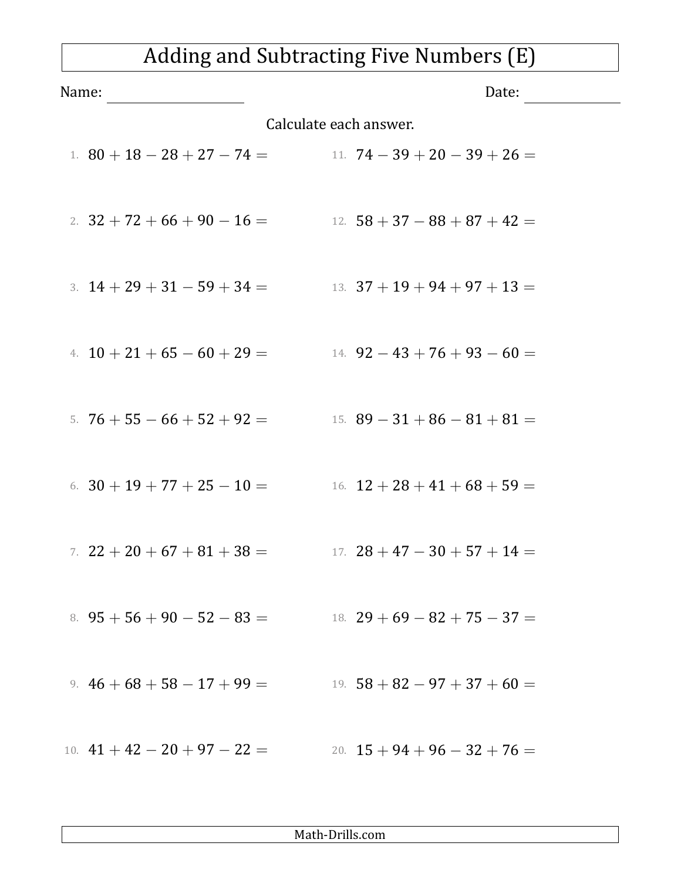## Adding and Subtracting Five Numbers (E)

| Name:                  |                                | Date:                               |
|------------------------|--------------------------------|-------------------------------------|
| Calculate each answer. |                                |                                     |
|                        | 1. $80 + 18 - 28 + 27 - 74 =$  | 11. $74 - 39 + 20 - 39 + 26 =$      |
|                        | 2. $32 + 72 + 66 + 90 - 16 =$  | $12. \;\; 58 + 37 - 88 + 87 + 42 =$ |
|                        | 3. $14 + 29 + 31 - 59 + 34 =$  | 13. $37 + 19 + 94 + 97 + 13 =$      |
|                        | 4. $10 + 21 + 65 - 60 + 29 =$  | 14. $92 - 43 + 76 + 93 - 60 =$      |
|                        | 5. $76 + 55 - 66 + 52 + 92 =$  | 15. $89 - 31 + 86 - 81 + 81 =$      |
|                        | 6. $30 + 19 + 77 + 25 - 10 =$  | 16. $12 + 28 + 41 + 68 + 59 =$      |
|                        | 7. $22 + 20 + 67 + 81 + 38 =$  | 17. $28 + 47 - 30 + 57 + 14 =$      |
|                        | 8. $95 + 56 + 90 - 52 - 83 =$  | 18. $29 + 69 - 82 + 75 - 37 =$      |
|                        | 9. $46+68+58-17+99=$           | 19. $58 + 82 - 97 + 37 + 60 =$      |
|                        | 10. $41 + 42 - 20 + 97 - 22 =$ | 20. $15 + 94 + 96 - 32 + 76 =$      |